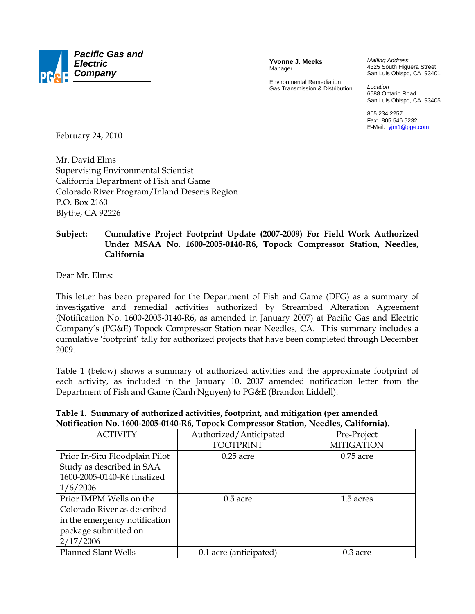

**Yvonne J. Meeks**  Manager

Environmental Remediation Gas Transmission & Distribution *Mailing Address*  4325 South Higuera Street San Luis Obispo, CA 93401

*Location*  6588 Ontario Road San Luis Obispo, CA 93405

805.234.2257 Fax: 805.546.5232 E-Mail: yjm1@pge.com

February 24, 2010

Mr. David Elms Supervising Environmental Scientist California Department of Fish and Game Colorado River Program/Inland Deserts Region P.O. Box 2160 Blythe, CA 92226

## **Subject: Cumulative Project Footprint Update (2007-2009) For Field Work Authorized Under MSAA No. 1600-2005-0140-R6, Topock Compressor Station, Needles, California**

Dear Mr. Elms:

This letter has been prepared for the Department of Fish and Game (DFG) as a summary of investigative and remedial activities authorized by Streambed Alteration Agreement (Notification No. 1600-2005-0140-R6, as amended in January 2007) at Pacific Gas and Electric Company's (PG&E) Topock Compressor Station near Needles, CA. This summary includes a cumulative 'footprint' tally for authorized projects that have been completed through December 2009.

Table 1 (below) shows a summary of authorized activities and the approximate footprint of each activity, as included in the January 10, 2007 amended notification letter from the Department of Fish and Game (Canh Nguyen) to PG&E (Brandon Liddell).

| <b>ACTIVITY</b>                | Authorized/Anticipated | Pre-Project       |
|--------------------------------|------------------------|-------------------|
|                                | <b>FOOTPRINT</b>       | <b>MITIGATION</b> |
| Prior In-Situ Floodplain Pilot | $0.25$ acre            | $0.75$ acre       |
| Study as described in SAA      |                        |                   |
| 1600-2005-0140-R6 finalized    |                        |                   |
| 1/6/2006                       |                        |                   |
| Prior IMPM Wells on the        | $0.5$ acre             | 1.5 acres         |
| Colorado River as described    |                        |                   |
| in the emergency notification  |                        |                   |
| package submitted on           |                        |                   |
| 2/17/2006                      |                        |                   |
| Planned Slant Wells            | 0.1 acre (anticipated) | $0.3$ acre        |

## **Table 1. Summary of authorized activities, footprint, and mitigation (per amended Notification No. 1600-2005-0140-R6, Topock Compressor Station, Needles, California)**.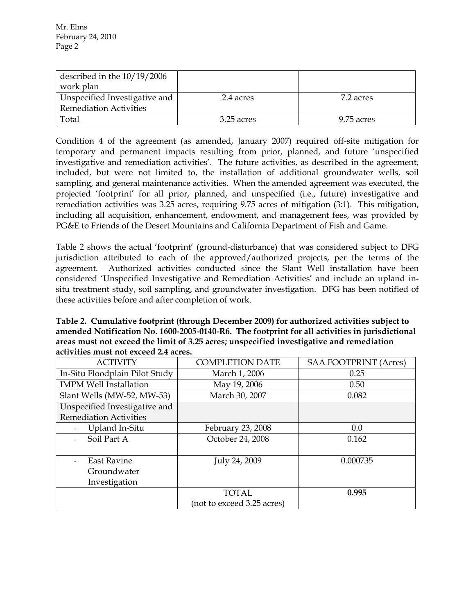| described in the $10/19/2006$ |            |            |
|-------------------------------|------------|------------|
| work plan                     |            |            |
| Unspecified Investigative and | 2.4 acres  | 7.2 acres  |
| <b>Remediation Activities</b> |            |            |
| Total                         | 3.25 acres | 9.75 acres |

Condition 4 of the agreement (as amended, January 2007) required off-site mitigation for temporary and permanent impacts resulting from prior, planned, and future 'unspecified investigative and remediation activities'. The future activities, as described in the agreement, included, but were not limited to, the installation of additional groundwater wells, soil sampling, and general maintenance activities. When the amended agreement was executed, the projected 'footprint' for all prior, planned, and unspecified (i.e., future) investigative and remediation activities was 3.25 acres, requiring 9.75 acres of mitigation (3:1). This mitigation, including all acquisition, enhancement, endowment, and management fees, was provided by PG&E to Friends of the Desert Mountains and California Department of Fish and Game.

Table 2 shows the actual 'footprint' (ground-disturbance) that was considered subject to DFG jurisdiction attributed to each of the approved/authorized projects, per the terms of the agreement. Authorized activities conducted since the Slant Well installation have been considered 'Unspecified Investigative and Remediation Activities' and include an upland insitu treatment study, soil sampling, and groundwater investigation. DFG has been notified of these activities before and after completion of work.

**Table 2. Cumulative footprint (through December 2009) for authorized activities subject to amended Notification No. 1600-2005-0140-R6. The footprint for all activities in jurisdictional areas must not exceed the limit of 3.25 acres; unspecified investigative and remediation activities must not exceed 2.4 acres.** 

| <b>ACTIVITY</b>                | <b>COMPLETION DATE</b>     | <b>SAA FOOTPRINT (Acres)</b> |
|--------------------------------|----------------------------|------------------------------|
| In-Situ Floodplain Pilot Study | March 1, 2006              | 0.25                         |
| <b>IMPM Well Installation</b>  | May 19, 2006               | 0.50                         |
| Slant Wells (MW-52, MW-53)     | March 30, 2007             | 0.082                        |
| Unspecified Investigative and  |                            |                              |
| <b>Remediation Activities</b>  |                            |                              |
| Upland In-Situ                 | February 23, 2008          | 0.0                          |
| Soil Part A                    | October 24, 2008           | 0.162                        |
|                                |                            |                              |
| <b>East Ravine</b>             | July 24, 2009              | 0.000735                     |
| Groundwater                    |                            |                              |
| Investigation                  |                            |                              |
|                                | <b>TOTAL</b>               | 0.995                        |
|                                | (not to exceed 3.25 acres) |                              |